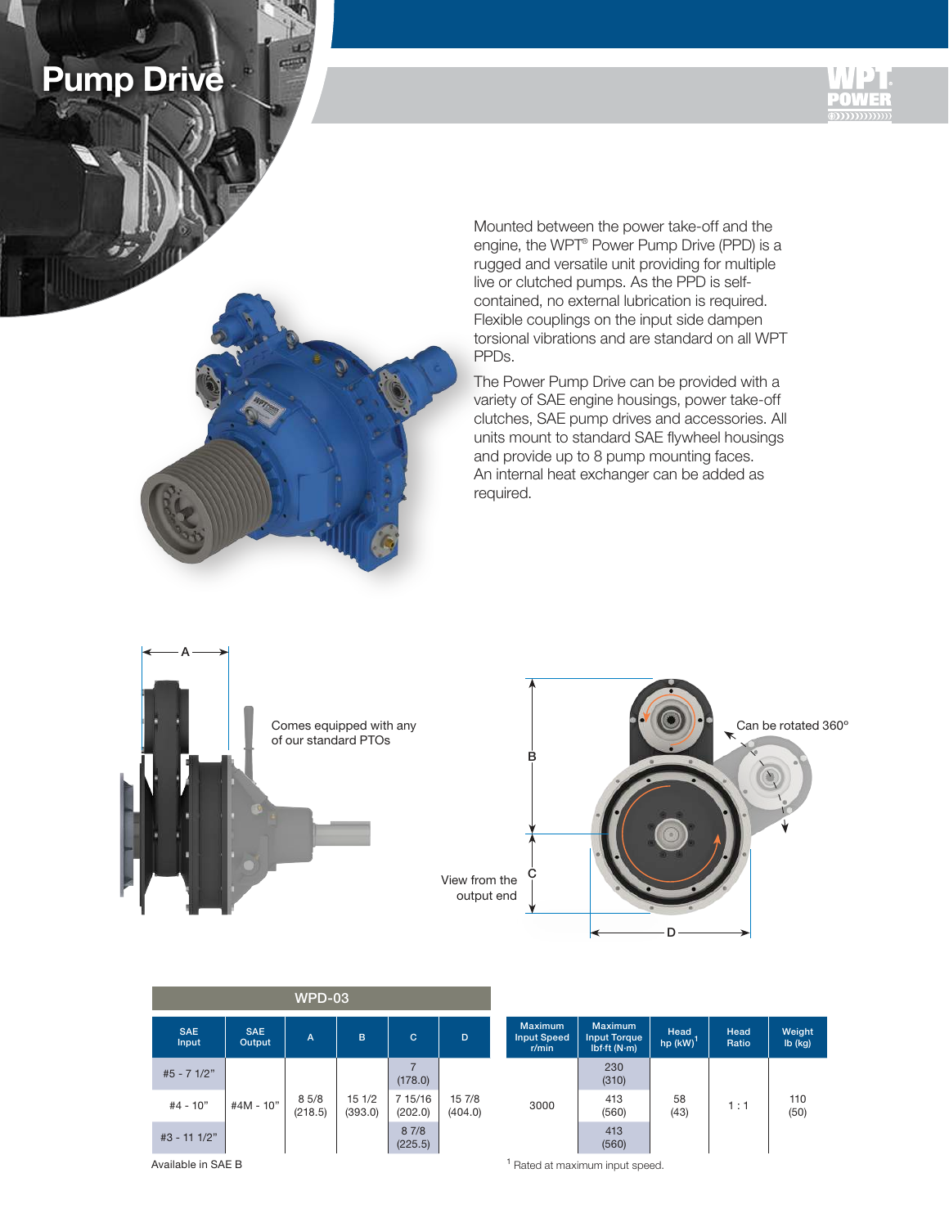





Mounted between the power take-off and the engine, the WPT® Power Pump Drive (PPD) is a rugged and versatile unit providing for multiple live or clutched pumps. As the PPD is selfcontained, no external lubrication is required. Flexible couplings on the input side dampen torsional vibrations and are standard on all WPT PPDs.

The Power Pump Drive can be provided with a variety of SAE engine housings, power take-off clutches, SAE pump drives and accessories. All units mount to standard SAE flywheel housings and provide up to 8 pump mounting faces. An internal heat exchanger can be added as required.





|                     |                      | <b>WPD-03</b>   |                  |                    |                   |                                               |                                                                |                     |               |                     |
|---------------------|----------------------|-----------------|------------------|--------------------|-------------------|-----------------------------------------------|----------------------------------------------------------------|---------------------|---------------|---------------------|
| <b>SAE</b><br>Input | <b>SAE</b><br>Output | $\overline{A}$  | B                | C                  | D                 | <b>Maximum</b><br><b>Input Speed</b><br>r/min | <b>Maximum</b><br><b>Input Torque</b><br>$Ibf{}$ (N $\cdot$ m) | Head<br>hp $(kW)^T$ | Head<br>Ratio | Weight<br>$Ib$ (kg) |
| #5 - 7 1/2"         |                      |                 |                  | (178.0)            |                   |                                               | 230<br>(310)                                                   |                     |               |                     |
| $#4 - 10"$          | #4M - 10"            | 85/8<br>(218.5) | 151/2<br>(393.0) | 7 15/16<br>(202.0) | 15 7/8<br>(404.0) | 3000                                          | 413<br>(560)                                                   | 58<br>(43)          | 1 : 1         | 110<br>(50)         |
| #3 - 11 1/2"        |                      |                 |                  | 87/8<br>(225.5)    |                   |                                               | 413<br>(560)                                                   |                     |               |                     |

Available in SAE B

<sup>1</sup> Rated at maximum input speed.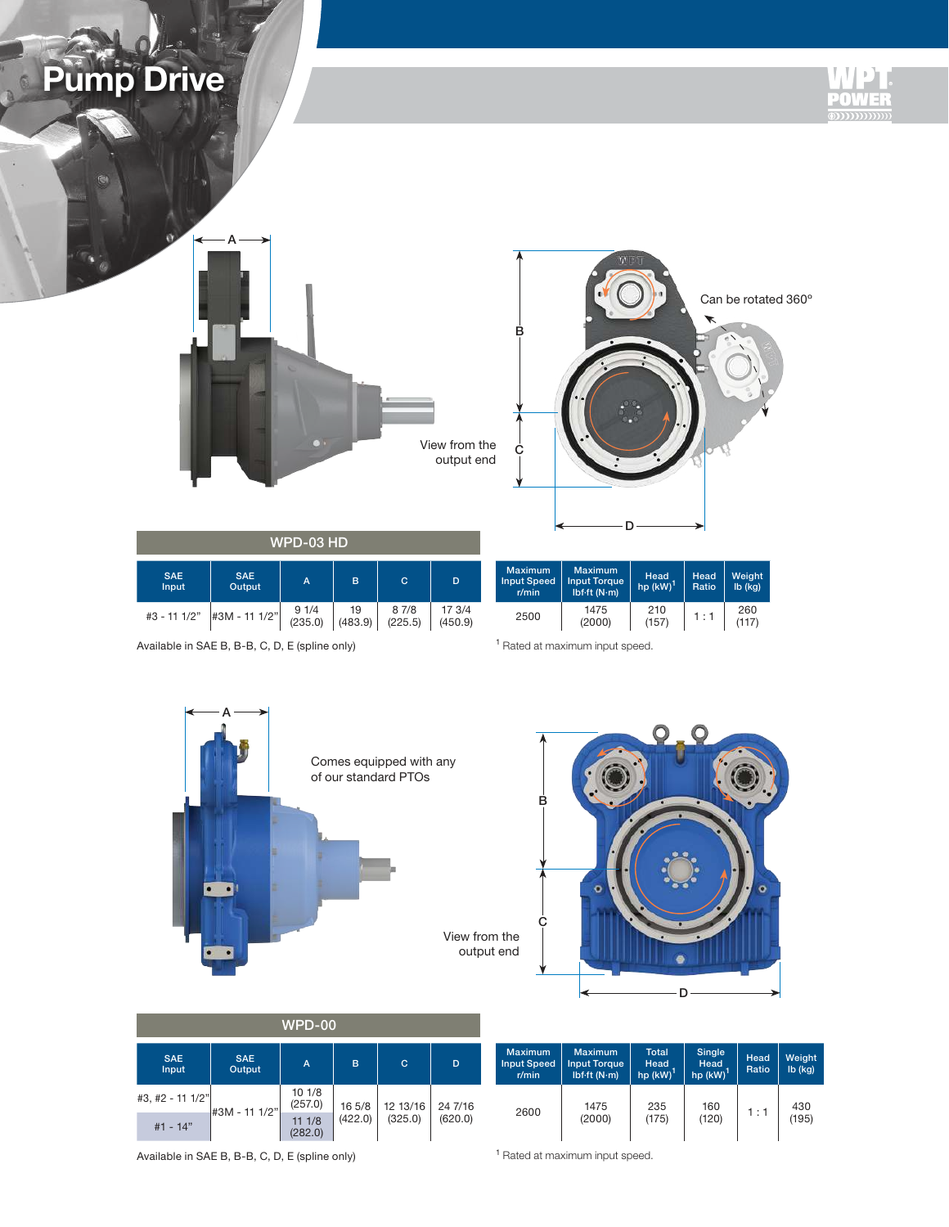







Head<br>hp (kW)<sup>1</sup>

210

Head Ratio

 $\begin{array}{|c|c|c|c|c|}\n 210 & 1 : 1 & 260 \\
\hline\n (157) & 1 : 1 & (117)\n \end{array}$ 

Weight lb (kg)

(117)

|                            | WPD-03 HD            |                   |               |                  |                   |                                               |                                             |
|----------------------------|----------------------|-------------------|---------------|------------------|-------------------|-----------------------------------------------|---------------------------------------------|
| <b>SAE</b><br><b>Input</b> | <b>SAE</b><br>Output | A                 | B             | C                | D                 | <b>Maximum</b><br><b>Input Speed</b><br>r/min | Maximur<br><b>Input Torc</b><br>Ibf-ft (N-r |
| #3 - 11 1/2"               | #3M - 11 1/2"        | $91/4$<br>(235.0) | 19<br>(483.9) | 8 7/8<br>(225.5) | 17 3/4<br>(450.9) | 2500                                          | 1475<br>(2000)                              |

Available in SAE B, B-B, C, D, E (spline only)

<sup>1</sup> Rated at maximum input speed.

Maximum Input Torque lbf·ft (N·m)





| <b>WPD-00</b>       |                      |                  |         |          |         |  |  |
|---------------------|----------------------|------------------|---------|----------|---------|--|--|
| <b>SAE</b><br>Input | <b>SAE</b><br>Output | A                | B       | C        | D       |  |  |
| #3, #2 - 11 1/2"    | #3M - 11 1/2"        | 101/8<br>(257.0) | 16 5/8  | 12 13/16 | 24 7/16 |  |  |
| $#1 - 14"$          |                      | 111/8<br>(282.0) | (422.0) | (325.0)  | (620.0) |  |  |

| <b>SAE</b><br>Input | <b>SAE</b><br>Output | A                 | B       | C.       | D       | <b>Maximum</b><br><b>Input Speed</b><br>r/min | <b>Maximum</b><br><b>Input Torque</b><br>$Ibf{}$ : (N·m) | <b>Total</b><br>Head<br>$hp$ (kW) <sup><math>'</math></sup> | Single<br>Head<br>$hp$ (kW) | Head<br>Ratio | Weight<br>$Ib$ (kg) |
|---------------------|----------------------|-------------------|---------|----------|---------|-----------------------------------------------|----------------------------------------------------------|-------------------------------------------------------------|-----------------------------|---------------|---------------------|
| #2 - 11 1/2"        | #3M - 11 1/2"        | 101/8<br>(257.0)  | 16 5/8  | 12 13/16 | 24 7/16 |                                               | 1475                                                     | 235                                                         | 160                         |               | 430                 |
| #1 - 14"            |                      | 11 1/8<br>(282.0) | (422.0) | (325.0)  | (620.0) | 2600                                          | (2000)                                                   | (175)                                                       | (120)                       | 11.7          | (195)               |

Available in SAE B, B-B, C, D, E (spline only)

<sup>1</sup> Rated at maximum input speed.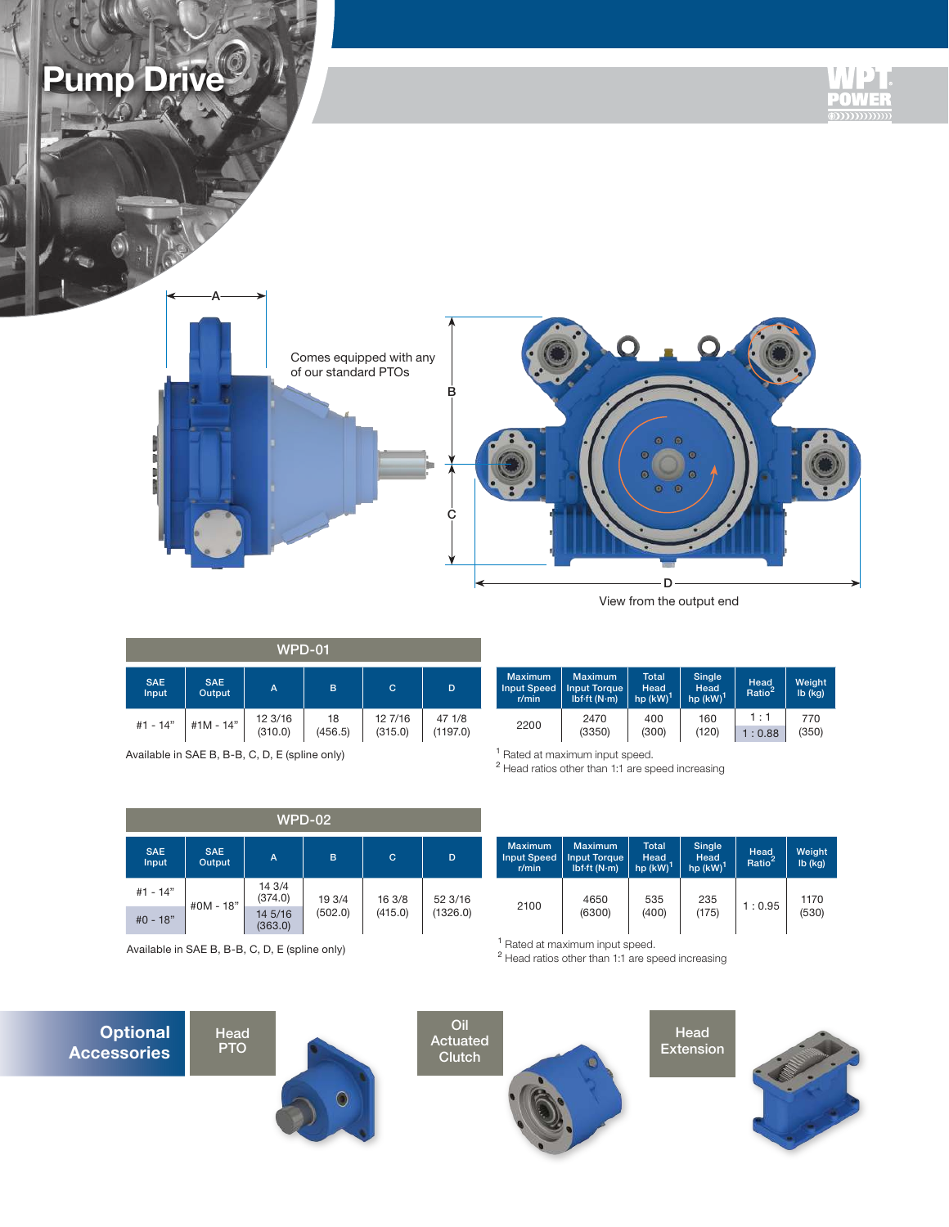

View from the output end

| WPD-01              |                      |                    |               |                    |                    |  |  |
|---------------------|----------------------|--------------------|---------------|--------------------|--------------------|--|--|
| <b>SAE</b><br>Input | <b>SAE</b><br>Output | A                  | B             | с                  | D                  |  |  |
| #1 - 14"            | #1M - 14"            | 12 3/16<br>(310.0) | 18<br>(456.5) | 12 7/16<br>(315.0) | 47 1/8<br>(1197.0) |  |  |

Available in SAE B, B-B, C, D, E (spline only)

| D        | <b>Maximum</b><br><b>Input Speed</b><br>r/min | <b>Maximum</b><br><b>Input Torque</b><br>$Ibf{f}$ : (N·m) | <b>Total</b><br>Head<br>hp $(kW)^T$ | Single<br>Head<br>hp $(kW)^T$ | Head<br>Ratio <sup>2</sup> | Weight<br>$Ib$ (kg) |
|----------|-----------------------------------------------|-----------------------------------------------------------|-------------------------------------|-------------------------------|----------------------------|---------------------|
| 47 1/8   | 2200                                          | 2470                                                      | 400                                 | 160                           | 1:1                        | 770                 |
| (1197.0) |                                               | (3350)                                                    | (300)                               | (120)                         | : 0.88                     | (350)               |

<sup>1</sup> Rated at maximum input speed.

<sup>2</sup> Head ratios other than 1:1 are speed increasing

|                     |                      |                    | <b>WPD-02</b> |             |          |                                               |                                                                       |                                |                                 |                            |                  |
|---------------------|----------------------|--------------------|---------------|-------------|----------|-----------------------------------------------|-----------------------------------------------------------------------|--------------------------------|---------------------------------|----------------------------|------------------|
| <b>SAE</b><br>Input | <b>SAE</b><br>Output | A                  | в             | $\mathbf C$ | D        | <b>Maximum</b><br><b>Input Speed</b><br>r/min | <b>Maximum</b><br><b>Input Torque</b><br>Ibf $\cdot$ ft (N $\cdot$ m) | Total<br>Head<br>hp $(kW)^{T}$ | Single<br>Head<br>hp $(kW)^{1}$ | Head<br>Ratio <sup>2</sup> | Weigh<br>lb (kg) |
| #1 - 14"            | #0M - 18"            | 14 3/4<br>(374.0)  | 19 3/4        | 16 3/8      | 52 3/16  |                                               | 4650                                                                  | 535                            | 235                             | 1:0.95                     | 1170             |
| $#0 - 18"$          |                      | 14 5/16<br>(363.0) | (502.0)       | (415.0)     | (1326.0) | 2100                                          | (6300)                                                                | (400)                          | (175)                           |                            | (530)            |

Available in SAE B, B-B, C, D, E (spline only)

Head PTO

| D                   | <b>Maximum</b><br><b>Input Speed</b><br>r/min | <b>Maximum</b><br><b>Input Torque</b><br>$Ibf\cdot f$ t (N·m) | <b>Total</b><br>Head<br>$hp$ (kW) <sup><math>'</math></sup> | Single<br>Head<br>$hp$ (kW) <sup><math>'</math></sup> | Head<br>Ratio <sup>2</sup> | Weight<br>$Ib$ (kg) |
|---------------------|-----------------------------------------------|---------------------------------------------------------------|-------------------------------------------------------------|-------------------------------------------------------|----------------------------|---------------------|
| 52 3/16<br>(1326.0) | 2100                                          | 4650<br>(6300)                                                | 535<br>(400)                                                | 235<br>(175)                                          | 1:0.95                     | 1170<br>(530)       |

<sup>1</sup> Rated at maximum input speed.

<sup>2</sup> Head ratios other than 1:1 are speed increasing







Head Extension